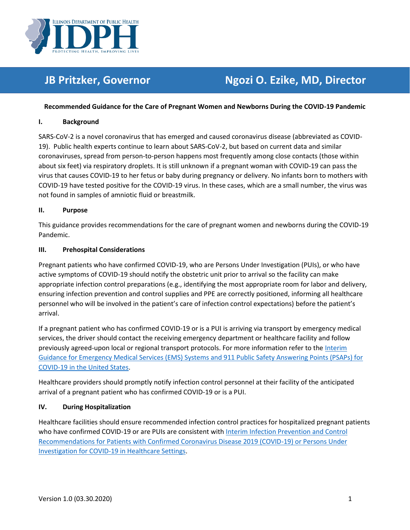

# **JB Pritzker, Governor Ngozi O. Ezike, MD, Director**

#### **Recommended Guidance for the Care of Pregnant Women and Newborns During the COVID-19 Pandemic**

#### **I. Background**

SARS-CoV-2 is a novel coronavirus that has emerged and caused coronavirus disease (abbreviated as COVID-19). Public health experts continue to learn about SARS-CoV-2, but based on current data and similar coronaviruses, spread from person-to-person happens most frequently among close contacts (those within about six feet) via respiratory droplets. It is still unknown if a pregnant woman with COVID-19 can pass the virus that causes COVID-19 to her fetus or baby during pregnancy or delivery. No infants born to mothers with COVID-19 have tested positive for the COVID-19 virus. In these cases, which are a small number, the virus was not found in samples of amniotic fluid or breastmilk.

#### **II. Purpose**

This guidance provides recommendations for the care of pregnant women and newborns during the COVID-19 Pandemic.

### **III. Prehospital Considerations**

Pregnant patients who have confirmed COVID-19, who are Persons Under Investigation (PUIs), or who have active symptoms of COVID-19 should notify the obstetric unit prior to arrival so the facility can make appropriate infection control preparations (e.g., identifying the most appropriate room for labor and delivery, ensuring infection prevention and control supplies and PPE are correctly positioned, informing all healthcare personnel who will be involved in the patient's care of infection control expectations) before the patient's arrival.

If a pregnant patient who has confirmed COVID-19 or is a PUI is arriving via transport by emergency medical services, the driver should contact the receiving emergency department or healthcare facility and follow previously agreed-upon local or regional transport protocols. For more information refer to the [Interim](https://www.cdc.gov/coronavirus/2019-ncov/hcp/guidance-for-ems.html)  [Guidance for Emergency Medical Services \(EMS\) Systems and 911 Public Safety Answering Points \(PSAPs\) for](https://www.cdc.gov/coronavirus/2019-ncov/hcp/guidance-for-ems.html)  [COVID-19 in the United](https://www.cdc.gov/coronavirus/2019-ncov/hcp/guidance-for-ems.html) States.

Healthcare providers should promptly notify infection control personnel at their facility of the anticipated arrival of a pregnant patient who has confirmed COVID-19 or is a PUI.

# **IV. During Hospitalization**

Healthcare facilities should ensure recommended infection control practices for hospitalized pregnant patients who have confirmed COVID-19 or are PUIs are consistent with Interim Infection Prevention and Control [Recommendations for Patients with Confirmed Coronavirus Disease 2019 \(COVID-19\) or Persons Under](https://www.cdc.gov/coronavirus/2019-ncov/infection-control/control-recommendations.html)  [Investigation for COVID-19 in Healthcare Settings.](https://www.cdc.gov/coronavirus/2019-ncov/infection-control/control-recommendations.html)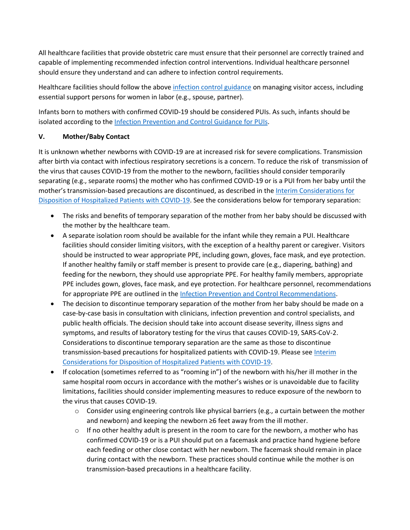All healthcare facilities that provide obstetric care must ensure that their personnel are correctly trained and capable of implementing recommended infection control interventions. Individual healthcare personnel should ensure they understand and can adhere to infection control requirements.

Healthcare facilities should follow the above [infection control guidance](https://www.cdc.gov/coronavirus/2019-ncov/infection-control/control-recommendations.html) on managing visitor access, including essential support persons for women in labor (e.g., spouse, partner).

Infants born to mothers with confirmed COVID-19 should be considered PUIs. As such, infants should be isolated according to the [Infection Prevention and Control Guidance for PUIs.](https://www.cdc.gov/coronavirus/2019-ncov/infection-control/control-recommendations.html)

# **V. Mother/Baby Contact**

It is unknown whether newborns with COVID-19 are at increased risk for severe complications. Transmission after birth via contact with infectious respiratory secretions is a concern. To reduce the risk of transmission of the virus that causes COVID-19 from the mother to the newborn, facilities should consider temporarily separating (e.g., separate rooms) the mother who has confirmed COVID-19 or is a PUI from her baby until the mother's transmission-based precautions are discontinued, as described in the Interim Considerations for [Disposition of Hospitalized Patients with COVID-19.](https://www.cdc.gov/coronavirus/2019-ncov/hcp/disposition-hospitalized-patients.html) See the considerations below for temporary separation:

- The risks and benefits of temporary separation of the mother from her baby should be discussed with the mother by the healthcare team.
- A separate isolation room should be available for the infant while they remain a PUI. Healthcare facilities should consider limiting visitors, with the exception of a healthy parent or caregiver. Visitors should be instructed to wear appropriate PPE, including gown, gloves, face mask, and eye protection. If another healthy family or staff member is present to provide care (e.g., diapering, bathing) and feeding for the newborn, they should use appropriate PPE. For healthy family members, appropriate PPE includes gown, gloves, face mask, and eye protection. For healthcare personnel, recommendations for appropriate PPE are outlined in the [Infection Prevention and Control Recommendations.](https://www.cdc.gov/coronavirus/2019-ncov/infection-control/control-recommendations.html)
- The decision to discontinue temporary separation of the mother from her baby should be made on a case-by-case basis in consultation with clinicians, infection prevention and control specialists, and public health officials. The decision should take into account disease severity, illness signs and symptoms, and results of laboratory testing for the virus that causes COVID-19, SARS-CoV-2. Considerations to discontinue temporary separation are the same as those to discontinue transmission-based precautions for hospitalized patients with COVID-19. Please see Interim [Considerations for Disposition of Hospitalized Patients with COVID-19.](https://www.cdc.gov/coronavirus/2019-ncov/hcp/disposition-hospitalized-patients.html)
- If colocation (sometimes referred to as "rooming in") of the newborn with his/her ill mother in the same hospital room occurs in accordance with the mother's wishes or is unavoidable due to facility limitations, facilities should consider implementing measures to reduce exposure of the newborn to the virus that causes COVID-19.
	- $\circ$  Consider using engineering controls like physical barriers (e.g., a curtain between the mother and newborn) and keeping the newborn ≥6 feet away from the ill mother.
	- $\circ$  If no other healthy adult is present in the room to care for the newborn, a mother who has confirmed COVID-19 or is a PUI should put on a facemask and practice hand hygiene before each feeding or other close contact with her newborn. The facemask should remain in place during contact with the newborn. These practices should continue while the mother is on transmission-based precautions in a healthcare facility.